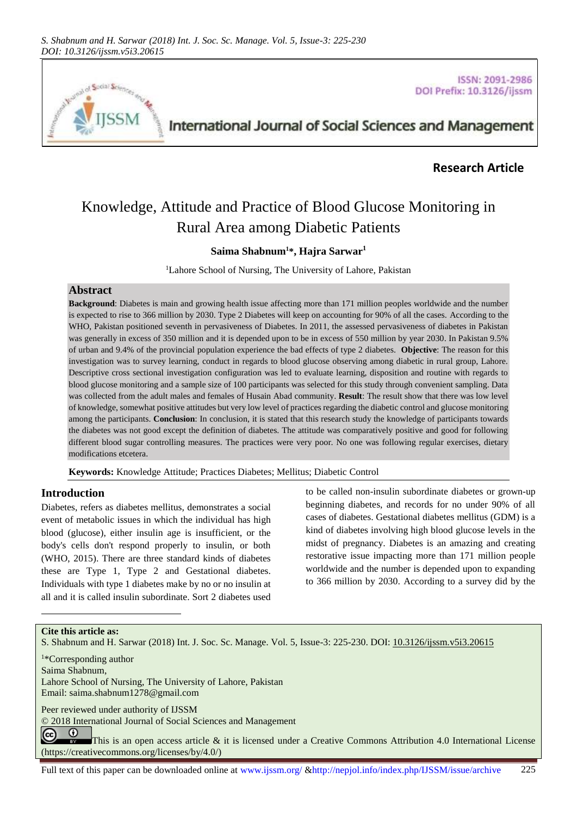

**ISSN: 2091-2986** DOI Prefix: 10.3126/ijssm

# International Journal of Social Sciences and Management

# **Research Article**

# Knowledge, Attitude and Practice of Blood Glucose Monitoring in Rural Area among Diabetic Patients

# **Saima Shabnum<sup>1</sup>\*, Hajra Sarwar<sup>1</sup>**

<sup>1</sup>Lahore School of Nursing, The University of Lahore, Pakistan

## **Abstract**

**Background**: Diabetes is main and growing health issue affecting more than 171 million peoples worldwide and the number is expected to rise to 366 million by 2030. Type 2 Diabetes will keep on accounting for 90% of all the cases. According to the WHO, Pakistan positioned seventh in pervasiveness of Diabetes. In 2011, the assessed pervasiveness of diabetes in Pakistan was generally in excess of 350 million and it is depended upon to be in excess of 550 million by year 2030. In Pakistan 9.5% of urban and 9.4% of the provincial population experience the bad effects of type 2 diabetes. **Objective**: The reason for this investigation was to survey learning, conduct in regards to blood glucose observing among diabetic in rural group, Lahore. Descriptive cross sectional investigation configuration was led to evaluate learning, disposition and routine with regards to blood glucose monitoring and a sample size of 100 participants was selected for this study through convenient sampling. Data was collected from the adult males and females of Husain Abad community. **Result**: The result show that there was low level of knowledge, somewhat positive attitudes but very low level of practices regarding the diabetic control and glucose monitoring among the participants. **Conclusion**: In conclusion, it is stated that this research study the knowledge of participants towards the diabetes was not good except the definition of diabetes. The attitude was comparatively positive and good for following different blood sugar controlling measures. The practices were very poor. No one was following regular exercises, dietary modifications etcetera.

**Keywords:** Knowledge Attitude; Practices Diabetes; Mellitus; Diabetic Control

# **Introduction**

Diabetes, refers as diabetes mellitus, demonstrates a social event of metabolic issues in which the individual has high blood (glucose), either insulin age is insufficient, or the body's cells don't respond properly to insulin, or both (WHO, 2015). There are three standard kinds of diabetes these are Type 1, Type 2 and Gestational diabetes. Individuals with type 1 diabetes make by no or no insulin at all and it is called insulin subordinate. Sort 2 diabetes used

to be called non-insulin subordinate diabetes or grown-up beginning diabetes, and records for no under 90% of all cases of diabetes. Gestational diabetes mellitus (GDM) is a kind of diabetes involving high blood glucose levels in the midst of pregnancy. Diabetes is an amazing and creating restorative issue impacting more than 171 million people worldwide and the number is depended upon to expanding to 366 million by 2030. According to a survey did by the

#### **Cite this article as:**

l

S. Shabnum and H. Sarwar (2018) Int. J. Soc. Sc. Manage. Vol. 5, Issue-3: 225-230. DOI: [10.3126/ijssm.v5i3.20615](http://dx.doi.org/10.3126/ijssm.v5i3.20615)

<sup>1</sup>\*Corresponding author

Saima Shabnum,

Lahore School of Nursing, The University of Lahore, Pakistan Email[: saima.shabnum1278@gmail.com](mailto:saima.shabnum1278@gmail.com) 

Peer reviewed under authority of IJSSM

© 2018 International Journal of Social Sciences and Management

 $\odot$ (cc This is an open access article & it is licensed under a Creative Commons Attribution 4.0 International License [\(https://creativecommons.org/licenses/by/4.0/\)](https://creativecommons.org/licenses/by/4.0/)

Full text of this paper can be downloaded online at www.ijssm.org/ &http://nepjol.info/index.php/IJSSM/issue/archive 225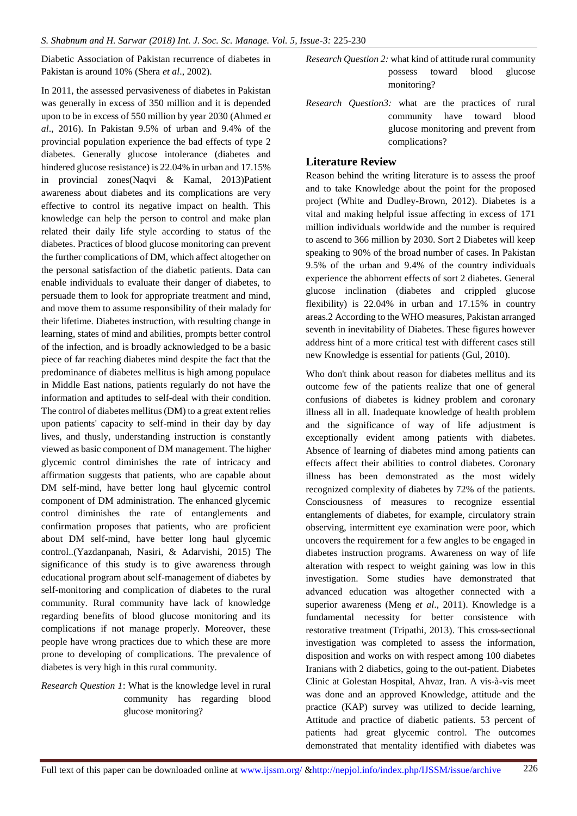Diabetic Association of Pakistan recurrence of diabetes in Pakistan is around 10% (Shera *et al*., 2002).

In 2011, the assessed pervasiveness of diabetes in Pakistan was generally in excess of 350 million and it is depended upon to be in excess of 550 million by year 2030 (Ahmed *et al*., 2016). In Pakistan 9.5% of urban and 9.4% of the provincial population experience the bad effects of type 2 diabetes. Generally glucose intolerance (diabetes and hindered glucose resistance) is 22.04% in urban and 17.15% in provincial zones(Naqvi & Kamal, 2013)Patient awareness about diabetes and its complications are very effective to control its negative impact on health. This knowledge can help the person to control and make plan related their daily life style according to status of the diabetes. Practices of blood glucose monitoring can prevent the further complications of DM, which affect altogether on the personal satisfaction of the diabetic patients. Data can enable individuals to evaluate their danger of diabetes, to persuade them to look for appropriate treatment and mind, and move them to assume responsibility of their malady for their lifetime. Diabetes instruction, with resulting change in learning, states of mind and abilities, prompts better control of the infection, and is broadly acknowledged to be a basic piece of far reaching diabetes mind despite the fact that the predominance of diabetes mellitus is high among populace in Middle East nations, patients regularly do not have the information and aptitudes to self-deal with their condition. The control of diabetes mellitus (DM) to a great extent relies upon patients' capacity to self-mind in their day by day lives, and thusly, understanding instruction is constantly viewed as basic component of DM management. The higher glycemic control diminishes the rate of intricacy and affirmation suggests that patients, who are capable about DM self-mind, have better long haul glycemic control component of DM administration. The enhanced glycemic control diminishes the rate of entanglements and confirmation proposes that patients, who are proficient about DM self-mind, have better long haul glycemic control..(Yazdanpanah, Nasiri, & Adarvishi, 2015) The significance of this study is to give awareness through educational program about self-management of diabetes by self-monitoring and complication of diabetes to the rural community. Rural community have lack of knowledge regarding benefits of blood glucose monitoring and its complications if not manage properly. Moreover, these people have wrong practices due to which these are more prone to developing of complications. The prevalence of diabetes is very high in this rural community.

# *Research Question 1*: What is the knowledge level in rural community has regarding blood glucose monitoring?

- *Research Question 2:* what kind of attitude rural community possess toward blood glucose monitoring?
- *Research Question3:* what are the practices of rural community have toward blood glucose monitoring and prevent from complications?

# **Literature Review**

Reason behind the writing literature is to assess the proof and to take Knowledge about the point for the proposed project (White and Dudley-Brown, 2012). Diabetes is a vital and making helpful issue affecting in excess of 171 million individuals worldwide and the number is required to ascend to 366 million by 2030. Sort 2 Diabetes will keep speaking to 90% of the broad number of cases. In Pakistan 9.5% of the urban and 9.4% of the country individuals experience the abhorrent effects of sort 2 diabetes. General glucose inclination (diabetes and crippled glucose flexibility) is 22.04% in urban and 17.15% in country areas.2 According to the WHO measures, Pakistan arranged seventh in inevitability of Diabetes. These figures however address hint of a more critical test with different cases still new Knowledge is essential for patients (Gul, 2010).

Who don't think about reason for diabetes mellitus and its outcome few of the patients realize that one of general confusions of diabetes is kidney problem and coronary illness all in all. Inadequate knowledge of health problem and the significance of way of life adjustment is exceptionally evident among patients with diabetes. Absence of learning of diabetes mind among patients can effects affect their abilities to control diabetes. Coronary illness has been demonstrated as the most widely recognized complexity of diabetes by 72% of the patients. Consciousness of measures to recognize essential entanglements of diabetes, for example, circulatory strain observing, intermittent eye examination were poor, which uncovers the requirement for a few angles to be engaged in diabetes instruction programs. Awareness on way of life alteration with respect to weight gaining was low in this investigation. Some studies have demonstrated that advanced education was altogether connected with a superior awareness (Meng *et al*., 2011). Knowledge is a fundamental necessity for better consistence with restorative treatment (Tripathi, 2013). This cross-sectional investigation was completed to assess the information, disposition and works on with respect among 100 diabetes Iranians with 2 diabetics, going to the out-patient. Diabetes Clinic at Golestan Hospital, Ahvaz, Iran. A vis-à-vis meet was done and an approved Knowledge, attitude and the practice (KAP) survey was utilized to decide learning, Attitude and practice of diabetic patients. 53 percent of patients had great glycemic control. The outcomes demonstrated that mentality identified with diabetes was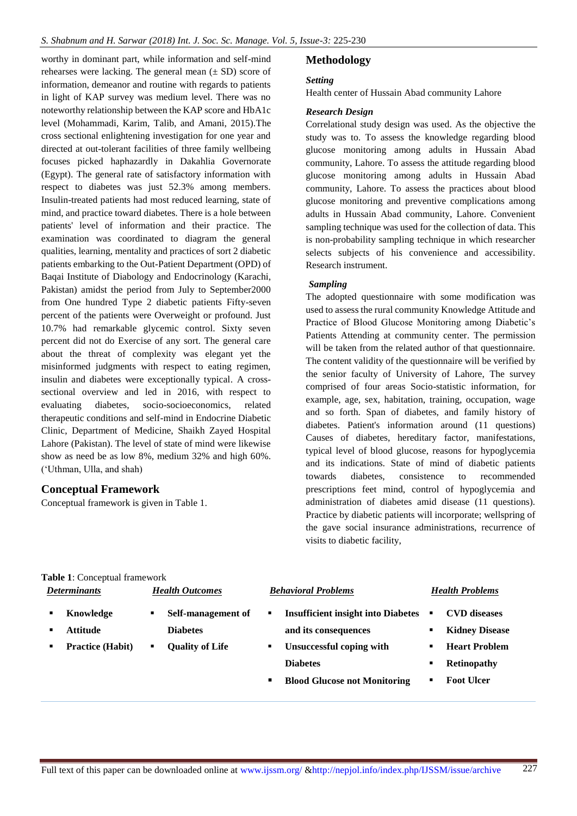worthy in dominant part, while information and self-mind rehearses were lacking. The general mean  $(\pm SD)$  score of information, demeanor and routine with regards to patients in light of KAP survey was medium level. There was no noteworthy relationship between the KAP score and HbA1c level (Mohammadi, Karim, Talib, and Amani, 2015).The cross sectional enlightening investigation for one year and directed at out-tolerant facilities of three family wellbeing focuses picked haphazardly in Dakahlia Governorate (Egypt). The general rate of satisfactory information with respect to diabetes was just 52.3% among members. Insulin-treated patients had most reduced learning, state of mind, and practice toward diabetes. There is a hole between patients' level of information and their practice. The examination was coordinated to diagram the general qualities, learning, mentality and practices of sort 2 diabetic patients embarking to the Out-Patient Department (OPD) of Baqai Institute of Diabology and Endocrinology (Karachi, Pakistan) amidst the period from July to September2000 from One hundred Type 2 diabetic patients Fifty-seven percent of the patients were Overweight or profound. Just 10.7% had remarkable glycemic control. Sixty seven percent did not do Exercise of any sort. The general care about the threat of complexity was elegant yet the misinformed judgments with respect to eating regimen, insulin and diabetes were exceptionally typical. A crosssectional overview and led in 2016, with respect to evaluating diabetes, socio-socioeconomics, related therapeutic conditions and self-mind in Endocrine Diabetic Clinic, Department of Medicine, Shaikh Zayed Hospital Lahore (Pakistan). The level of state of mind were likewise show as need be as low 8%, medium 32% and high 60%. ('Uthman, Ulla, and shah)

# **Conceptual Framework**

Conceptual framework is given in Table 1.

# **Methodology**

## *Setting*

Health center of Hussain Abad community Lahore

#### *Research Design*

Correlational study design was used. As the objective the study was to. To assess the knowledge regarding blood glucose monitoring among adults in Hussain Abad community, Lahore. To assess the attitude regarding blood glucose monitoring among adults in Hussain Abad community, Lahore. To assess the practices about blood glucose monitoring and preventive complications among adults in Hussain Abad community, Lahore. Convenient sampling technique was used for the collection of data. This is non-probability sampling technique in which researcher selects subjects of his convenience and accessibility. Research instrument.

## *Sampling*

The adopted questionnaire with some modification was used to assess the rural community Knowledge Attitude and Practice of Blood Glucose Monitoring among Diabetic's Patients Attending at community center. The permission will be taken from the related author of that questionnaire. The content validity of the questionnaire will be verified by the senior faculty of University of Lahore, The survey comprised of four areas Socio-statistic information, for example, age, sex, habitation, training, occupation, wage and so forth. Span of diabetes, and family history of diabetes. Patient's information around (11 questions) Causes of diabetes, hereditary factor, manifestations, typical level of blood glucose, reasons for hypoglycemia and its indications. State of mind of diabetic patients towards diabetes, consistence to recommended prescriptions feet mind, control of hypoglycemia and administration of diabetes amid disease (11 questions). Practice by diabetic patients will incorporate; wellspring of the gave social insurance administrations, recurrence of visits to diabetic facility,

#### **Table 1**: Conceptual framework

| <b>Determinants</b> |                         | <b>Health Outcomes</b> |                        | <b>Behavioral Problems</b> |                                           | <b>Health Problems</b> |                       |
|---------------------|-------------------------|------------------------|------------------------|----------------------------|-------------------------------------------|------------------------|-----------------------|
|                     | Knowledge               | ٠                      | Self-management of     | ٠                          | <b>Insufficient insight into Diabetes</b> | ٠                      | <b>CVD</b> diseases   |
|                     | <b>Attitude</b>         |                        | <b>Diabetes</b>        |                            | and its consequences                      | ٠                      | <b>Kidney Disease</b> |
|                     | <b>Practice (Habit)</b> | ٠                      | <b>Quality of Life</b> | ٠                          | Unsuccessful coping with                  | ٠                      | <b>Heart Problem</b>  |
|                     |                         |                        |                        |                            | <b>Diabetes</b>                           | ٠                      | <b>Retinopathy</b>    |
|                     |                         |                        |                        | п                          | <b>Blood Glucose not Monitoring</b>       | п                      | <b>Foot Ulcer</b>     |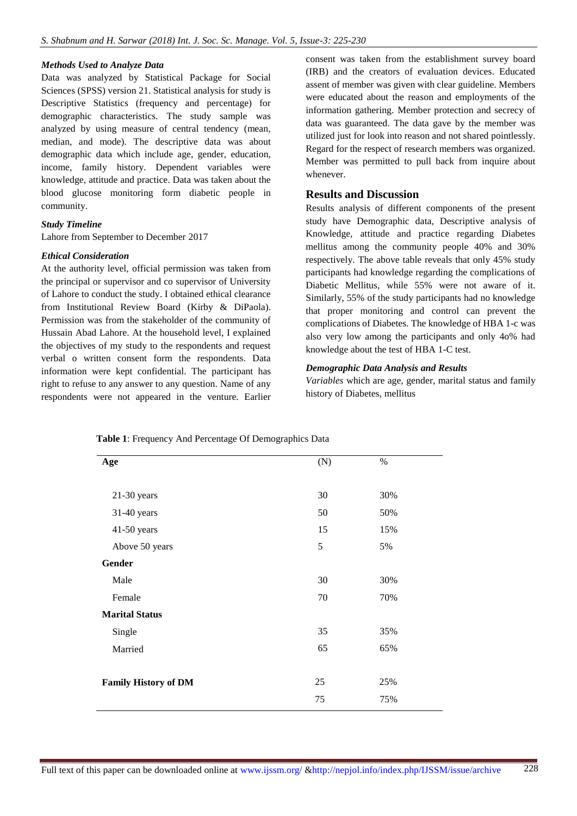#### *Methods Used to Analyze Data*

Data was analyzed by Statistical Package for Social Sciences (SPSS) version 21. Statistical analysis for study is Descriptive Statistics (frequency and percentage) for demographic characteristics. The study sample was analyzed by using measure of central tendency (mean, median, and mode). The descriptive data was about demographic data which include age, gender, education, income, family history. Dependent variables were knowledge, attitude and practice. Data was taken about the blood glucose monitoring form diabetic people in community.

#### *Study Timeline*

Lahore from September to December 2017

#### *Ethical Consideration*

At the authority level, official permission was taken from the principal or supervisor and co supervisor of University of Lahore to conduct the study. I obtained ethical clearance from Institutional Review Board (Kirby & DiPaola). Permission was from the stakeholder of the community of Hussain Abad Lahore. At the household level, I explained the objectives of my study to the respondents and request verbal o written consent form the respondents. Data information were kept confidential. The participant has right to refuse to any answer to any question. Name of any respondents were not appeared in the venture. Earlier

consent was taken from the establishment survey board (IRB) and the creators of evaluation devices. Educated assent of member was given with clear guideline. Members were educated about the reason and employments of the information gathering. Member protection and secrecy of data was guaranteed. The data gave by the member was utilized just for look into reason and not shared pointlessly. Regard for the respect of research members was organized. Member was permitted to pull back from inquire about whenever.

## **Results and Discussion**

Results analysis of different components of the present study have Demographic data, Descriptive analysis of Knowledge, attitude and practice regarding Diabetes mellitus among the community people 40% and 30% respectively. The above table reveals that only 45% study participants had knowledge regarding the complications of Diabetic Mellitus, while 55% were not aware of it. Similarly, 55% of the study participants had no knowledge that proper monitoring and control can prevent the complications of Diabetes. The knowledge of HBA 1-c was also very low among the participants and only 4o% had knowledge about the test of HBA 1-C test.

#### *Demographic Data Analysis and Results*

*Variables* which are age, gender, marital status and family history of Diabetes, mellitus

| Age                         | (N) | $\%$ |
|-----------------------------|-----|------|
|                             |     |      |
| $21-30$ years               | 30  | 30%  |
| 31-40 years                 | 50  | 50%  |
| $41-50$ years               | 15  | 15%  |
| Above 50 years              | 5   | 5%   |
| Gender                      |     |      |
| Male                        | 30  | 30%  |
| Female                      | 70  | 70%  |
| <b>Marital Status</b>       |     |      |
| Single                      | 35  | 35%  |
| Married                     | 65  | 65%  |
|                             |     |      |
| <b>Family History of DM</b> | 25  | 25%  |
|                             | 75  | 75%  |

**Table 1**: Frequency And Percentage Of Demographics Data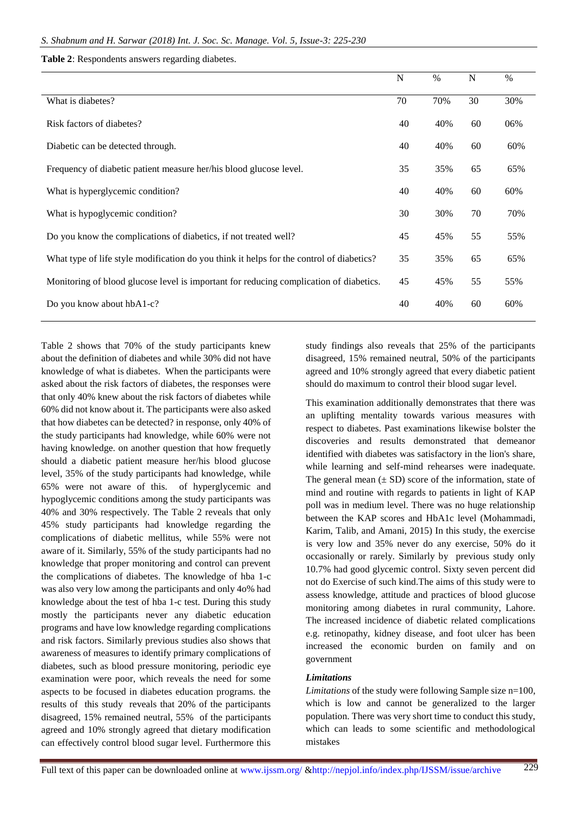#### **Table 2**: Respondents answers regarding diabetes.

|                                                                                          | N  | $\%$ | $\mathbf N$ | $\frac{0}{0}$ |
|------------------------------------------------------------------------------------------|----|------|-------------|---------------|
| What is diabetes?                                                                        | 70 | 70%  | 30          | 30%           |
| Risk factors of diabetes?                                                                | 40 | 40%  | 60          | 06%           |
| Diabetic can be detected through.                                                        | 40 | 40%  | 60          | 60%           |
| Frequency of diabetic patient measure her/his blood glucose level.                       | 35 | 35%  | 65          | 65%           |
| What is hyperglycemic condition?                                                         | 40 | 40%  | 60          | 60%           |
| What is hypoglycemic condition?                                                          | 30 | 30%  | 70          | 70%           |
| Do you know the complications of diabetics, if not treated well?                         | 45 | 45%  | 55          | 55%           |
| What type of life style modification do you think it helps for the control of diabetics? | 35 | 35%  | 65          | 65%           |
| Monitoring of blood glucose level is important for reducing complication of diabetics.   | 45 | 45%  | 55          | 55%           |
| Do you know about hbA1-c?                                                                | 40 | 40%  | 60          | 60%           |

Table 2 shows that 70% of the study participants knew about the definition of diabetes and while 30% did not have knowledge of what is diabetes. When the participants were asked about the risk factors of diabetes, the responses were that only 40% knew about the risk factors of diabetes while 60% did not know about it. The participants were also asked that how diabetes can be detected? in response, only 40% of the study participants had knowledge, while 60% were not having knowledge. on another question that how frequetly should a diabetic patient measure her/his blood glucose level, 35% of the study participants had knowledge, while 65% were not aware of this. of hyperglycemic and hypoglycemic conditions among the study participants was 40% and 30% respectively. The Table 2 reveals that only 45% study participants had knowledge regarding the complications of diabetic mellitus, while 55% were not aware of it. Similarly, 55% of the study participants had no knowledge that proper monitoring and control can prevent the complications of diabetes. The knowledge of hba 1-c was also very low among the participants and only 4o% had knowledge about the test of hba 1-c test. During this study mostly the participants never any diabetic education programs and have low knowledge regarding complications and risk factors. Similarly previous studies also shows that awareness of measures to identify primary complications of diabetes, such as blood pressure monitoring, periodic eye examination were poor, which reveals the need for some aspects to be focused in diabetes education programs. the results of this study reveals that 20% of the participants disagreed, 15% remained neutral, 55% of the participants agreed and 10% strongly agreed that dietary modification can effectively control blood sugar level. Furthermore this

study findings also reveals that 25% of the participants disagreed, 15% remained neutral, 50% of the participants agreed and 10% strongly agreed that every diabetic patient should do maximum to control their blood sugar level.

This examination additionally demonstrates that there was an uplifting mentality towards various measures with respect to diabetes. Past examinations likewise bolster the discoveries and results demonstrated that demeanor identified with diabetes was satisfactory in the lion's share, while learning and self-mind rehearses were inadequate. The general mean  $(\pm SD)$  score of the information, state of mind and routine with regards to patients in light of KAP poll was in medium level. There was no huge relationship between the KAP scores and HbA1c level (Mohammadi, Karim, Talib, and Amani, 2015) In this study, the exercise is very low and 35% never do any exercise, 50% do it occasionally or rarely. Similarly by previous study only 10.7% had good glycemic control. Sixty seven percent did not do Exercise of such kind.The aims of this study were to assess knowledge, attitude and practices of blood glucose monitoring among diabetes in rural community, Lahore. The increased incidence of diabetic related complications e.g. retinopathy, kidney disease, and foot ulcer has been increased the economic burden on family and on government

#### *Limitations*

*Limitations* of the study were following Sample size n=100, which is low and cannot be generalized to the larger population. There was very short time to conduct this study, which can leads to some scientific and methodological mistakes